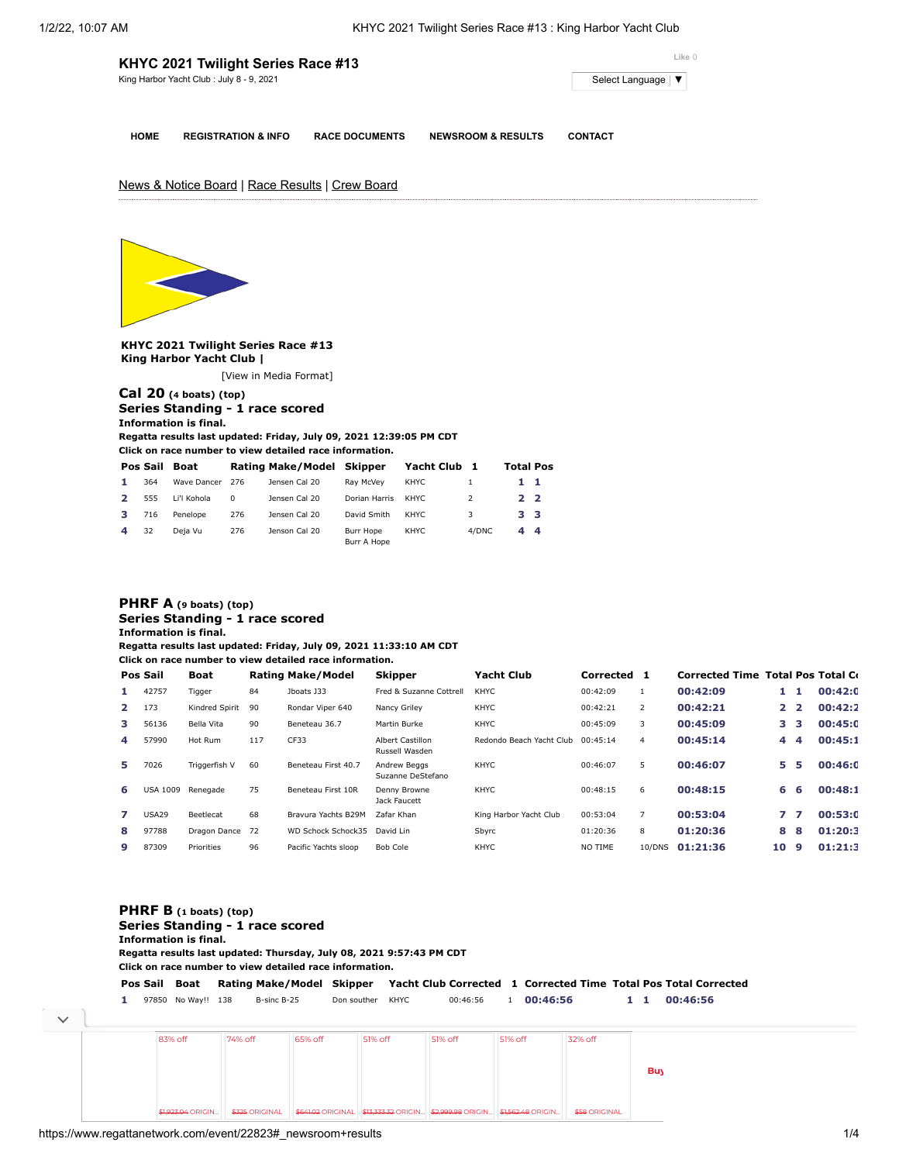| KHYC 2021 Twilight Series Race #13       | Like 0                         |                       |                               |                |
|------------------------------------------|--------------------------------|-----------------------|-------------------------------|----------------|
| King Harbor Yacht Club: July 8 - 9, 2021 | Select Language   ▼            |                       |                               |                |
| <b>HOME</b>                              | <b>REGISTRATION &amp; INFO</b> | <b>RACE DOCUMENTS</b> | <b>NEWSROOM &amp; RESULTS</b> | <b>CONTACT</b> |

# News & Notice Board | Race Results | Crew Board



**KHYC 2021 Twilight Series Race #13 King Harbor Yacht Club |**

[\[View in Media Format](https://www.regattanetwork.com/clubmgmt/applet_regatta_results.php?regatta_id=22823&show_manufacturer=1&show_crew=1&media_format=1)]

## **[Cal 20](https://www.regattanetwork.com/clubmgmt/applet_regatta_results.php?regatta_id=22823&show_manufacturer=1&show_crew=1&limit_fleet=Cal+20) (4 boats) (top) Series Standing - 1 race scored Information is final.**

**Regatta results last updated: Friday, July 09, 2021 12:39:05 PM CDT**

**Click on race number to view detailed race information.**

|              | Pos Sail | Boat            |     | Rating Make/Model Skipper |                          | Yacht Club 1 |               | <b>Total Pos</b> |  |
|--------------|----------|-----------------|-----|---------------------------|--------------------------|--------------|---------------|------------------|--|
| 1.           | 364      | Wave Dancer 276 |     | Jensen Cal 20             | Rav McVev                | KHYC         |               | 11               |  |
| $\mathbf{2}$ | 555      | Li'l Kohola     | 0   | Jensen Cal 20             | Dorian Harris            | KHYC.        | $\mathcal{P}$ | 2 <sub>2</sub>   |  |
| 3.           | 716      | Penelope        | 276 | Jensen Cal 20             | David Smith              | KHYC.        | 3             | 33               |  |
| 4            | 32       | Deja Vu         | 276 | Jenson Cal 20             | Burr Hope<br>Burr A Hope | KHYC         | 4/DNC         | 44               |  |

## **[PHRF A](https://www.regattanetwork.com/clubmgmt/applet_regatta_results.php?regatta_id=22823&show_manufacturer=1&show_crew=1&limit_fleet=PHRF+A) (9 boats) (top) Series Standing - 1 race scored Information is final.**

**Regatta results last updated: Friday, July 09, 2021 11:33:10 AM CDT**

**Click on race number to view detailed race information.**

|              | Pos Sail        | Boat           |     | <b>Rating Make/Model</b>  | <b>Skipper</b>                            | <b>Yacht Club</b>        | Corrected 1 |                | <b>Corrected Time Total Pos Total Co.</b> |              |                |         |
|--------------|-----------------|----------------|-----|---------------------------|-------------------------------------------|--------------------------|-------------|----------------|-------------------------------------------|--------------|----------------|---------|
|              | 42757           | Tigger         | 84  | Jboats J33                | Fred & Suzanne Cottrell                   | <b>KHYC</b>              | 00:42:09    | $\mathbf{1}$   | 00:42:09                                  | 1            |                | 00:42:0 |
| $\mathbf{2}$ | 173             | Kindred Spirit | 90  | Rondar Viper 640          | Nancy Griley                              | KHYC                     | 00:42:21    | 2              | 00:42:21                                  | $\mathbf{2}$ | $\overline{2}$ | 00:42:2 |
| 3.           | 56136           | Bella Vita     | 90  | Beneteau 36.7             | Martin Burke                              | KHYC                     | 00:45:09    | 3              | 00:45:09                                  | 3            | з              | 00:45:0 |
| 4            | 57990           | Hot Rum        | 117 | CF33                      | <b>Albert Castillon</b><br>Russell Wasden | Redondo Beach Yacht Club | 00:45:14    | $\overline{4}$ | 00:45:14                                  | 4            | 4              | 00:45:1 |
| 5.           | 7026            | Triggerfish V  | 60  | Beneteau First 40.7       | Andrew Beaas<br>Suzanne DeStefano         | KHYC                     | 00:46:07    | 5              | 00:46:07                                  | 5.           | Б              | 00:46:0 |
| 6            | <b>USA 1009</b> | Renegade       | 75  | Beneteau First 10R        | Denny Browne<br>Jack Faucett              | KHYC                     | 00:48:15    | 6              | 00:48:15                                  | 6            | 6              | 00:48:1 |
| 7            | <b>USA29</b>    | Beetlecat      | 68  | Bravura Yachts B29M       | Zafar Khan                                | King Harbor Yacht Club   | 00:53:04    | 7              | 00:53:04                                  | 7            |                | 00:53:0 |
| 8            | 97788           | Dragon Dance   | 72  | <b>WD Schock Schock35</b> | David Lin                                 | Sbyrc                    | 01:20:36    | 8              | 01:20:36                                  | 8            | 8              | 01:20:3 |
| 9            | 87309           | Priorities     | 96  | Pacific Yachts sloop      | Bob Cole                                  | KHYC                     | NO TIME     | 10/DNS         | 01:21:36                                  | 10           | q              | 01:21:3 |

**\$58 [ORIGINAL](https://cat.da.us.criteo.com/m/delivery/ck.php?cppv=3&cpp=3_URbDDAoQabBLXx37mBdwsyGc679Y8CnF0n_Ab020d8tMTOoRGkER3ITl0wzMBO3jracj50cKHVYkuVDwdBOMCatZMEPyqaPPq2pFZ30IQNzfHkMouOS6c2fDoJ30bUvmMGKy3RLubx-c3EyBg4VYH2HaQgkrXAlYt-ptP3umLn1wpCuVoog7IdmgthZZcy3KzrQT0zn95rkFLZEU-Ps8FkFUJT1dVkPv0-I3voSOhs6v7WE7zsa7miYhxkYnVWNswC-R35wnMLziA4y-wUIu18KS0oz_kihlKNOEK5CluSvCDgtwCHx6chRLZKf--eoD304oTxk8Eg4WnsSb13LsCiGfpGAvjGIg07bqY68fHMyjG2m12txPZEXv57xisd6XuVeBQDyouOdMbUrgkEQENqGXGnCn3xE1mSOW_ZfrJgNQeXIWON6PjEGB1OVyL074APFdKexlqbohoFB4l1JQSlfK5wIHEwlN_cuH8YSxuf-YHb&maxdest=https%3A%2F%2Fwww.jcpenney.com%2Fp%2Fdakota-mens-black-digital-mini-clip-30863%2Fpp5007460027%3FpTmplType%3Dregular%26utm_source%3Dcriteo%26utm_medium%3Ddisplay%26utm_campaign%3Dlocalrepeatlapsed%26utm_content%3Dexd%28%22cat%22%29%26cid%3Ddisplay%7Ccriteo%7Cexd%28%22cat%22%29%7Clocalrepeatlapsed)** 

### **[PHRF B](https://www.regattanetwork.com/clubmgmt/applet_regatta_results.php?regatta_id=22823&show_manufacturer=1&show_crew=1&limit_fleet=PHRF+B) (1 boats) (top) Series Standing - 1 race scored Information is final. Regatta results last updated: Thursday, July 08, 2021 9:57:43 PM CDT Click on race number to view detailed race information. Pos Sail Boat Rating Make/Model Skipper Yacht Club Corrected [1](https://www.regattanetwork.com/clubmgmt/applet_race_scores.php?regatta_id=22823&race_num=1&fleet=PHRF+B&show_crew=1) Corrected Time Total Pos Total Corrected 1** 97850 No Way!! 138 B-sinc B-25 Don souther KHYC 00:46:56 1 **00:46:56 1 1 00:46:56 Buy Online and Pick Up Instore at** 83% off 74% off 65% off 51% off 51% off 51% off 32% off

<u>\$1,923.04</u> ORIGIN... │ \$325 ORIGINAL \$641.02 ORIGINAL \$13,333.32 ORIGIN... │ \$2,999.98 ORIGIN… [\\$1,562.48](https://cat.da.us.criteo.com/m/delivery/ck.php?cppv=3&cpp=QdeyAjDAoQabBLXx37mBdwsyGc679Y8CnF0n_Ab020d8tMTOoRGkER3ITl0wzMBO3jracj50cKHVYkuVDwdBOMCatZMEPyqaPPq2pFZ30IQNzfHkMouOS6c2fDoJ30bUvmMGKy3RLubx-c3EyBg4VYH2HaRNIzdYJs5sDdeXlHZM-shbllwJoYk25UHLrXCIy3Ii9X0KoHWeatQkuAGdDtbk5oLXgGm1uk_q0YPsRo4NtTlxpQJcKIWJaqbdDq24Qfysomg50Sr9Y20c6hcb2o4fjwa8zzhrnVTDyuW7aWz47kcvq-asE4ja7Tl3rWgAzNVqO5aQdnMqMHS4ONGaGceS-5niZ6ZcKU-KI0LyvV2dICysvbz4_4TqaxU2ZceLgS8NVxrXoJul-ZMJDV8SadXVTMaRHchtTmERcGY1Uw5zrDFFb73e-WJdnOdPtyzpZOxTchVH60fnC0kGUSvdUqozQxQvMbzB6X2I3VUS7uYWlohO&maxdest=https%3A%2F%2Fwww.jcpenney.com%2Fp%2Flead-glass-filled-red-ruby-1-3-ct-tw-genuine-white-diamond-10k-gold-heart-drop-earrings%2Fppr5008109893%3FpTmplType%3Dregular%26utm_source%3Dcriteo%26utm_medium%3Ddisplay%26utm_campaign%3Dlocalrepeatlapsed%26utm_content%3Dexd%28%22cat%22%29%26cid%3Ddisplay%7Ccriteo%7Cexd%28%22cat%22%29%7Clocalrepeatlapsed) ORIGIN... │

\$1,923.04 ORIGIN…

**Click on race number to view detailed race information.**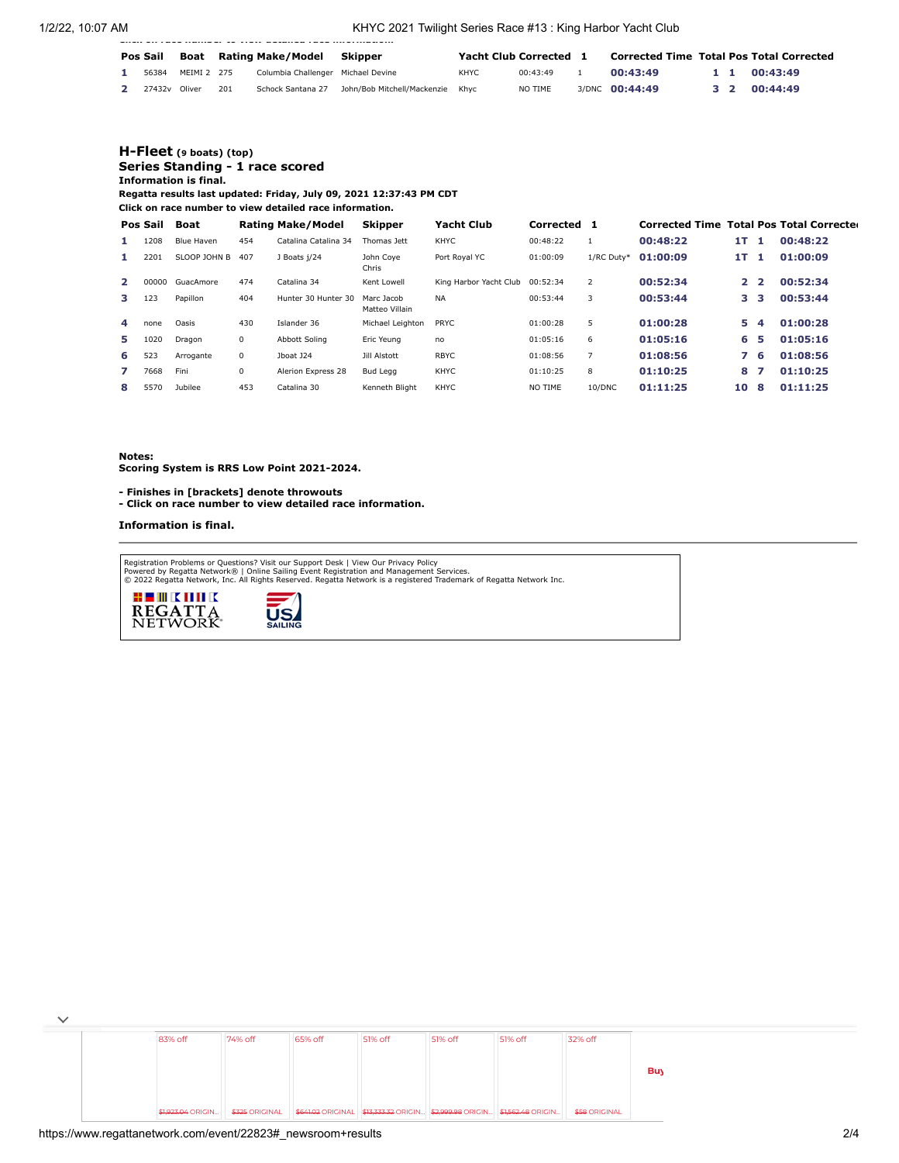1/2/22, 10:07 AM KHYC 2021 Twilight Series Race #13 : King Harbor Yacht Club

| Pos Sail |             |     | Boat Rating Make/Model             | Skipper                          |             | <b>Yacht Club Corrected</b> | <b>Corrected Time Total Pos Total Corrected</b> |  |              |
|----------|-------------|-----|------------------------------------|----------------------------------|-------------|-----------------------------|-------------------------------------------------|--|--------------|
| 56384    | MEIMI 2 275 |     | Columbia Challenger Michael Devine |                                  | <b>KHYC</b> | 00:43:49                    | 00:43:49                                        |  | 1 1 00:43:49 |
| 27432v   | Oliver      | 201 | Schock Santana 27                  | John/Bob Mitchell/Mackenzie Khyc |             | NO TIME                     | 3/DNC 00:44:49                                  |  | 3 2 00:44:49 |

## **[H-Fleet](https://www.regattanetwork.com/clubmgmt/applet_regatta_results.php?regatta_id=22823&show_manufacturer=1&show_crew=1&limit_fleet=H-Fleet) (9 boats) (top) Series Standing - 1 race scored Information is final.**

**Regatta results last updated: Friday, July 09, 2021 12:37:43 PM CDT**

**Click on race number to view detailed race information.**

**Click on race number to view detailed race information.**

|                | Pos Sail | Boat         |     | Rating Make/Model    | <b>Skipper</b>               | <b>Yacht Club</b>      | Corrected | $\blacksquare$ | <b>Corrected Time Total Pos Total Correcter</b> |              |                |          |
|----------------|----------|--------------|-----|----------------------|------------------------------|------------------------|-----------|----------------|-------------------------------------------------|--------------|----------------|----------|
| 1.             | 1208     | Blue Haven   | 454 | Catalina Catalina 34 | Thomas Jett                  | KHYC                   | 00:48:22  |                | 00:48:22                                        | 1T           |                | 00:48:22 |
| 1.             | 2201     | SLOOP JOHN B | 407 | J Boats j/24         | John Coye<br>Chris           | Port Royal YC          | 01:00:09  | 1/RC Duty*     | 01:00:09                                        | 1T.          |                | 01:00:09 |
| $\overline{2}$ | 00000    | GuacAmore    | 474 | Catalina 34          | Kent Lowell                  | King Harbor Yacht Club | 00:52:34  | 2              | 00:52:34                                        | $\mathbf{2}$ | $\overline{2}$ | 00:52:34 |
| 3.             | 123      | Papillon     | 404 | Hunter 30 Hunter 30  | Marc Jacob<br>Matteo Villain | <b>NA</b>              | 00:53:44  | 3              | 00:53:44                                        | з            | з              | 00:53:44 |
| 4              | none     | Oasis        | 430 | Islander 36          | Michael Leighton             | <b>PRYC</b>            | 01:00:28  | 5              | 01:00:28                                        | 5.           | 4              | 01:00:28 |
| 5.             | 1020     | Dragon       | 0   | <b>Abbott Soling</b> | Eric Yeung                   | no                     | 01:05:16  | 6              | 01:05:16                                        | 6            | 5              | 01:05:16 |
| 6.             | 523      | Arrogante    | 0   | Jboat J24            | Jill Alstott                 | <b>RBYC</b>            | 01:08:56  |                | 01:08:56                                        |              | 6              | 01:08:56 |
| 7              | 7668     | Fini         | 0   | Alerion Express 28   | <b>Bud Legg</b>              | <b>KHYC</b>            | 01:10:25  | 8              | 01:10:25                                        | 8            | 7              | 01:10:25 |
| 8              | 5570     | Jubilee      | 453 | Catalina 30          | Kenneth Bliaht               | <b>KHYC</b>            | NO TIME   | 10/DNC         | 01:11:25                                        | 10           | 8              | 01:11:25 |

**Notes:**

**Scoring System is RRS Low Point 2021-2024.**

**- Finishes in [brackets] denote throwouts** 

**- Click on race number to view detailed race information.**

**Information is final.**

Registration Problems or Questions? [Visit our Support Desk](http://support.regattanetwork.com/) | [View Our Privacy Policy](https://www.regattanetwork.com/html/privacy.html)<br>[Powered by Regatta Network®](http://www.regattanetwork.com/) | Online Sailing Event Registration and Management Services.<br>© 2022 [Regatta Network,](http://www.regattanetwork.com/) Inc. All Rights Reserved





|  | 83% off | 74% off | 65% off | 51% off | 51% off                                                                                                             | 51% off | 32% off              |            |
|--|---------|---------|---------|---------|---------------------------------------------------------------------------------------------------------------------|---------|----------------------|------------|
|  |         |         |         |         |                                                                                                                     |         |                      |            |
|  |         |         |         |         |                                                                                                                     |         |                      | <b>Buy</b> |
|  |         |         |         |         |                                                                                                                     |         |                      |            |
|  |         |         |         |         | \$1,923.04 ORIGIN   \$325 ORIGINAL   \$641.02 ORIGINAL   \$13,333.32 ORIGIN   \$2,999.98 ORIGIN   \$1,562.48 ORIGIN |         | <b>\$58 ORIGINAL</b> |            |

 $\checkmark$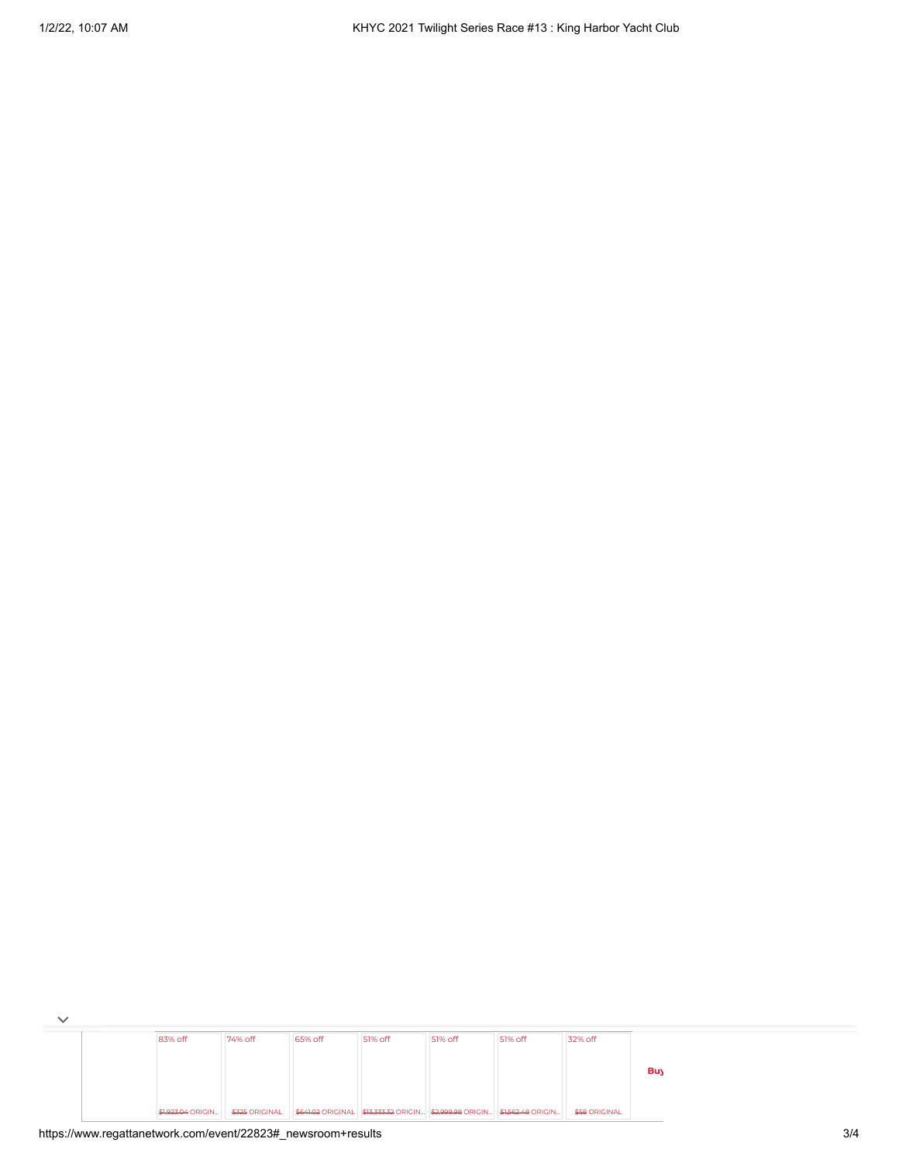| 83% off | 74% off | 65% off | 51% off                                                                  | 51% off | 51% off | 32% off              |     |
|---------|---------|---------|--------------------------------------------------------------------------|---------|---------|----------------------|-----|
|         |         |         |                                                                          |         |         |                      |     |
|         |         |         |                                                                          |         |         |                      | Buy |
|         |         |         |                                                                          |         |         |                      |     |
|         |         |         | \$641.02 ORIGINAL \$13,333.32 ORIGIN \$2,999.98 ORIGIN \$1,562.48 ORIGIN |         |         | <b>\$58 ORIGINAL</b> |     |